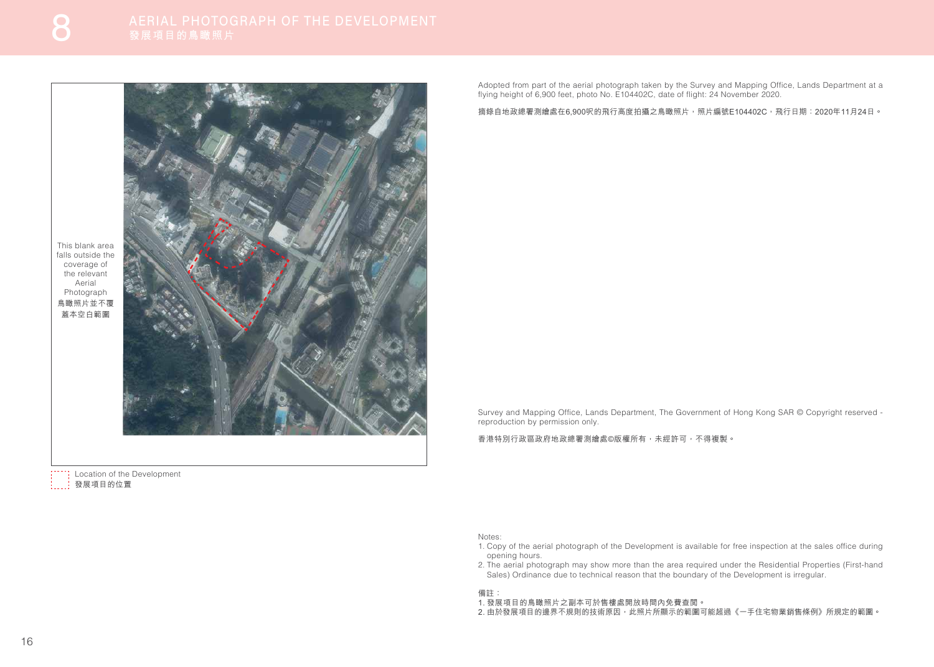Adopted from part of the aerial photograph taken by the Survey and Mapping Office, Lands Department at a flying height of 6,900 feet, photo No. E104402C, date of flight: 24 November 2020.

摘錄自地政總署測繪處在6,900呎的飛行高度拍攝之鳥瞰照片,照片編號E104402C,那行日期: 2020年11月24日。

Survey and Mapping Office, Lands Department, The Government of Hong Kong SAR © Copyright reserved reproduction by permission only.

香港特別行政區政府地政總署測繪處©版權所有,未經許可,不得複製。

Notes:

": Location of the Development 發展項目的位置

- 1. Copy of the aerial photograph of the Development is available for free inspection at the sales office during opening hours.
- 2. The aerial photograph may show more than the area required under the Residential Properties (First-hand Sales) Ordinance due to technical reason that the boundary of the Development is irregular.

## 備註:

- 1. 發展項目的鳥瞰照片之副本可於售樓處開放時間內免費查閲。
- 2. 由於發展項目的邊界不規則的技術原因,此照片所顯示的範圍可能超過《一手住宅物業銷售條例》所規定的範圍。

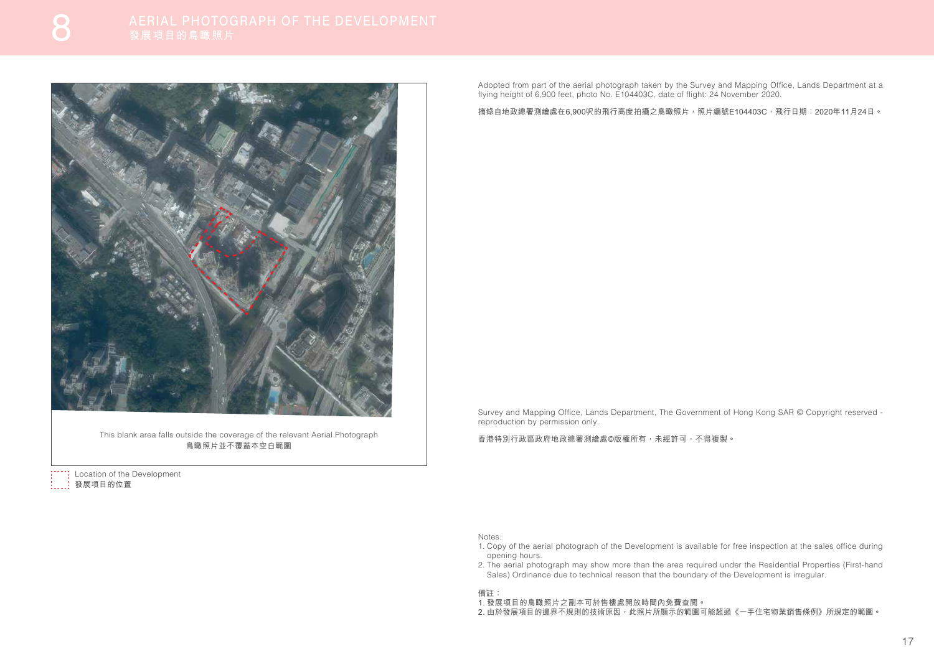Survey and Mapping Office, Lands Department, The Government of Hong Kong SAR © Copyright reserved reproduction by permission only.

香港特別行政區政府地政總署測繪處©版權所有,未經許可,不得複製。

Notes:

- 1. Copy of the aerial photograph of the Development is available for free inspection at the sales office during opening hours.
- 2. The aerial photograph may show more than the area required under the Residential Properties (First-hand Sales) Ordinance due to technical reason that the boundary of the Development is irregular.

<sup>1</sup>: Location of the Development 發展項目的位置

## 備註:

- 1. 發展項目的鳥瞰照片之副本可於售樓處開放時間內免費查閲。
- 2. 由於發展項目的邊界不規則的技術原因,此照片所顯示的範圍可能超過《一手住宅物業銷售條例》所規定的範圍。

Adopted from part of the aerial photograph taken by the Survey and Mapping Office, Lands Department at a flying height of 6,900 feet, photo No. E104403C, date of flight: 24 November 2020.

摘錄自地政總署測繪處在6.900呎的飛行高度拍攝之鳥瞰照片,照片編號E104403C,飛行日期: 2020年11月24日。



This blank area falls outside the coverage of the relevant Aerial Photograph 鳥瞰照片並不覆蓋本空白範圍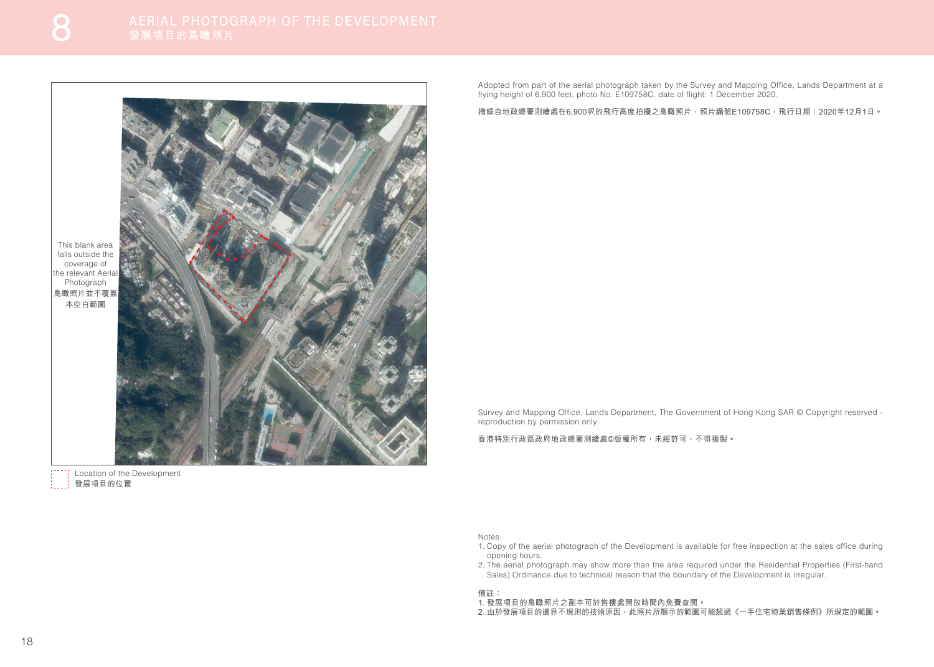Adopted from part of the aerial photograph taken by the Survey and Mapping Office, Lands Department at a flying height of 6,900 feet, photo No. E109758C, date of flight: 1 December 2020.

摘錄自地政總署測繪處在6.900呎的飛行高度拍攝之鳥瞰照片,照片編號E109758C,飛行日期: 2020年12月1日。

<sup>1</sup>: Location of the Development 發展項目的位置



Survey and Mapping Office, Lands Department, The Government of Hong Kong SAR © Copyright reserved reproduction by permission only.

香港特別行政區政府地政總署測繪處©版權所有,未經許可,不得複製。

Notes:

- 1. Copy of the aerial photograph of the Development is available for free inspection at the sales office during opening hours.
- 2. The aerial photograph may show more than the area required under the Residential Properties (First-hand Sales) Ordinance due to technical reason that the boundary of the Development is irregular.

## 備註:

- 1. 發展項目的鳥瞰照片之副本可於售樓處開放時間內免費查閲。
- 2. 由於發展項目的邊界不規則的技術原因,此照片所顯示的範圍可能超過《一手住宅物業銷售條例》所規定的範圍。